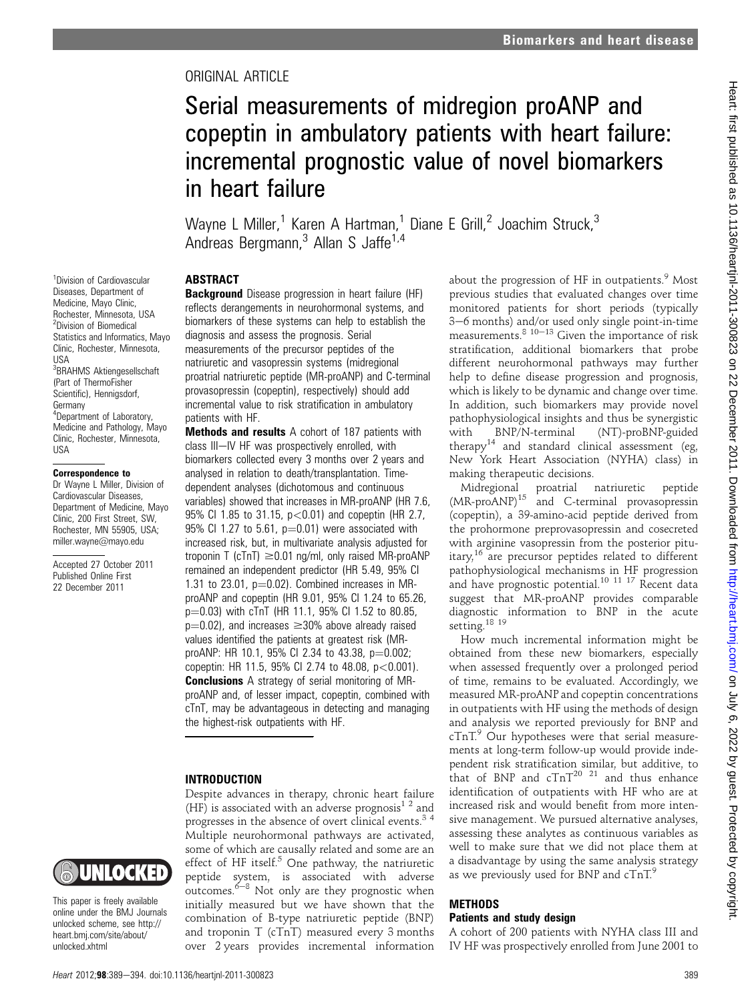## ORIGINAL ARTICLE

# Serial measurements of midregion proANP and copeptin in ambulatory patients with heart failure: incremental prognostic value of novel biomarkers in heart failure

Wayne L Miller,<sup>1</sup> Karen A Hartman,<sup>1</sup> Diane E Grill,<sup>2</sup> Joachim Struck,<sup>3</sup> Andreas Bergmann.<sup>3</sup> Allan S Jaffe<sup>1,4</sup>

## ABSTRACT

**Background** Disease progression in heart failure (HF) reflects derangements in neurohormonal systems, and biomarkers of these systems can help to establish the diagnosis and assess the prognosis. Serial measurements of the precursor peptides of the natriuretic and vasopressin systems (midregional proatrial natriuretic peptide (MR-proANP) and C-terminal provasopressin (copeptin), respectively) should add incremental value to risk stratification in ambulatory patients with HF.

Methods and results A cohort of 187 patients with class III-IV HF was prospectively enrolled, with biomarkers collected every 3 months over 2 years and analysed in relation to death/transplantation. Timedependent analyses (dichotomous and continuous variables) showed that increases in MR-proANP (HR 7.6, 95% CI 1.85 to 31.15, p<0.01) and copeptin (HR 2.7, 95% CI 1.27 to 5.61,  $p=0.01$ ) were associated with increased risk, but, in multivariate analysis adjusted for troponin T (cTnT)  $\geq$ 0.01 ng/ml, only raised MR-proANP remained an independent predictor (HR 5.49, 95% CI 1.31 to 23.01,  $p=0.02$ ). Combined increases in MRproANP and copeptin (HR 9.01, 95% CI 1.24 to 65.26, p=0.03) with cTnT (HR 11.1, 95% CI 1.52 to 80.85,  $p=0.02$ ), and increases  $\geq$ 30% above already raised values identified the patients at greatest risk (MRproANP: HR 10.1, 95% CI 2.34 to 43.38,  $p=0.002$ ; copeptin: HR 11.5, 95% CI 2.74 to 48.08,  $p < 0.001$ ). Conclusions A strategy of serial monitoring of MRproANP and, of lesser impact, copeptin, combined with cTnT, may be advantageous in detecting and managing the highest-risk outpatients with HF.

### INTRODUCTION

Despite advances in therapy, chronic heart failure (HF) is associated with an adverse prognosis<sup>12</sup> and progresses in the absence of overt clinical events.<sup>34</sup> Multiple neurohormonal pathways are activated, some of which are causally related and some are an effect of HF itself. $5$  One pathway, the natriuretic peptide system, is associated with adverse outcomes. $6-8$  Not only are they prognostic when initially measured but we have shown that the combination of B-type natriuretic peptide (BNP) and troponin T (cTnT) measured every 3 months over 2 years provides incremental information about the progression of HF in outpatients. $9$  Most previous studies that evaluated changes over time monitored patients for short periods (typically 3–6 months) and/or used only single point-in-time measurements.<sup>8 10–13</sup> Given the importance of risk stratification, additional biomarkers that probe different neurohormonal pathways may further help to define disease progression and prognosis, which is likely to be dynamic and change over time. In addition, such biomarkers may provide novel pathophysiological insights and thus be synergistic with BNP/N-terminal (NT)-proBNP-guided therapy $14$  and standard clinical assessment (eg, New York Heart Association (NYHA) class) in making therapeutic decisions.

Midregional proatrial natriuretic peptide (MR-proANP)<sup>15</sup> and C-terminal provasopressin (copeptin), a 39-amino-acid peptide derived from the prohormone preprovasopressin and cosecreted with arginine vasopressin from the posterior pituitary,16 are precursor peptides related to different pathophysiological mechanisms in HF progression and have prognostic potential.<sup>10 11 17</sup> Recent data suggest that MR-proANP provides comparable diagnostic information to BNP in the acute setting.<sup>18</sup> 19

How much incremental information might be obtained from these new biomarkers, especially when assessed frequently over a prolonged period of time, remains to be evaluated. Accordingly, we measured MR-proANP and copeptin concentrations in outpatients with HF using the methods of design and analysis we reported previously for BNP and  $cTnT<sup>9</sup>$  Our hypotheses were that serial measurements at long-term follow-up would provide independent risk stratification similar, but additive, to that of BNP and  $cTnT^{20}$  <sup>21</sup> and thus enhance identification of outpatients with HF who are at increased risk and would benefit from more intensive management. We pursued alternative analyses, assessing these analytes as continuous variables as well to make sure that we did not place them at a disadvantage by using the same analysis strategy as we previously used for BNP and  $cTnT$ .<sup>9</sup>

## **METHODS**

## Patients and study design

A cohort of 200 patients with NYHA class III and IV HF was prospectively enrolled from June 2001 to

1 Division of Cardiovascular Diseases, Department of Medicine, Mayo Clinic, Rochester, Minnesota, USA 2 Division of Biomedical Statistics and Informatics, Mayo Clinic, Rochester, Minnesota, **IISA** <sup>3</sup>BRAHMS Aktiengesellschaft (Part of ThermoFisher Scientific), Hennigsdorf, Germany 4 Department of Laboratory, Medicine and Pathology, Mayo Clinic, Rochester, Minnesota, USA

#### Correspondence to

Dr Wayne L Miller, Division of Cardiovascular Diseases, Department of Medicine, Mayo Clinic, 200 First Street, SW, Rochester, MN 55905, USA; miller.wayne@mayo.edu

Accepted 27 October 2011 Published Online First 22 December 2011



This paper is freely available online under the BMJ Journals unlocked scheme, see http:// heart.bmj.com/site/about/ unlocked.xhtml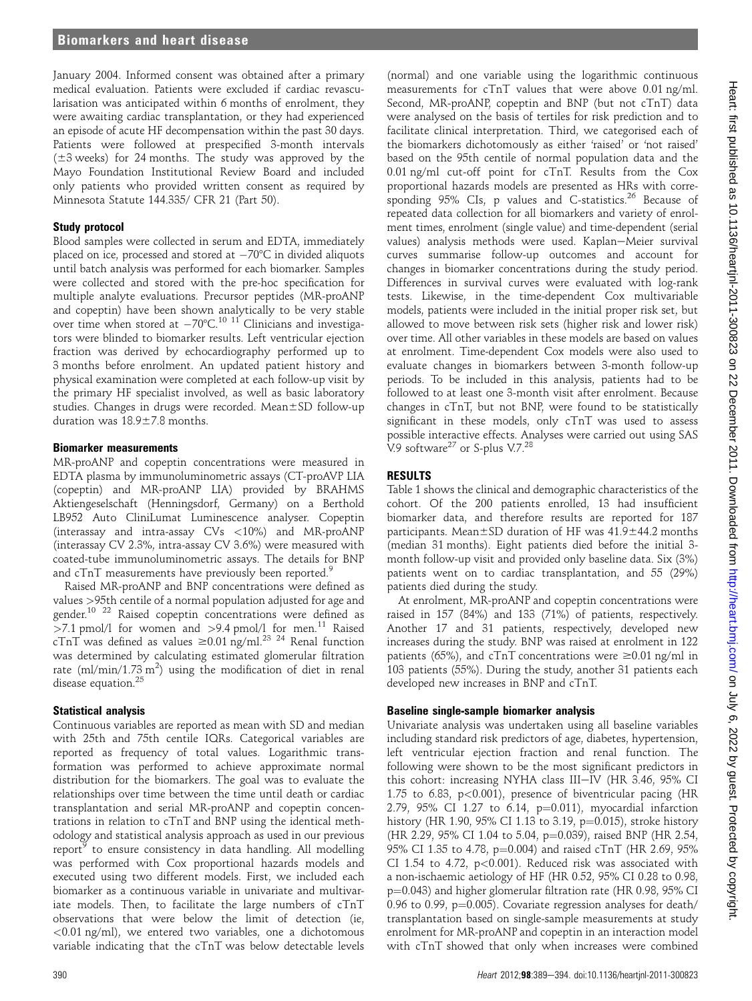January 2004. Informed consent was obtained after a primary medical evaluation. Patients were excluded if cardiac revascularisation was anticipated within 6 months of enrolment, they were awaiting cardiac transplantation, or they had experienced an episode of acute HF decompensation within the past 30 days. Patients were followed at prespecified 3-month intervals  $(\pm 3$  weeks) for 24 months. The study was approved by the Mayo Foundation Institutional Review Board and included only patients who provided written consent as required by Minnesota Statute 144.335/ CFR 21 (Part 50).

#### Study protocol

Blood samples were collected in serum and EDTA, immediately placed on ice, processed and stored at  $-70^{\circ}$ C in divided aliquots until batch analysis was performed for each biomarker. Samples were collected and stored with the pre-hoc specification for multiple analyte evaluations. Precursor peptides (MR-proANP and copeptin) have been shown analytically to be very stable over time when stored at  $-70^{\circ}$ C.<sup>10 11</sup> Clinicians and investigators were blinded to biomarker results. Left ventricular ejection fraction was derived by echocardiography performed up to 3 months before enrolment. An updated patient history and physical examination were completed at each follow-up visit by the primary HF specialist involved, as well as basic laboratory studies. Changes in drugs were recorded. Mean±SD follow-up duration was  $18.9 \pm 7.8$  months.

#### Biomarker measurements

MR-proANP and copeptin concentrations were measured in EDTA plasma by immunoluminometric assays (CT-proAVP LIA (copeptin) and MR-proANP LIA) provided by BRAHMS Aktiengeselschaft (Henningsdorf, Germany) on a Berthold LB952 Auto CliniLumat Luminescence analyser. Copeptin (interassay and intra-assay CVs <10%) and MR-proANP (interassay CV 2.3%, intra-assay CV 3.6%) were measured with coated-tube immunoluminometric assays. The details for BNP and cTnT measurements have previously been reported.<sup>9</sup>

Raised MR-proANP and BNP concentrations were defined as values >95th centile of a normal population adjusted for age and gender.10 <sup>22</sup> Raised copeptin concentrations were defined as  $>7.1$  pmol/l for women and  $>9.4$  pmol/l for men.<sup>11</sup> Raised cTnT was defined as values  $\geq 0.01$  ng/ml.<sup>23 24</sup> Renal function was determined by calculating estimated glomerular filtration rate (ml/min/1.73 m<sup>2</sup>) using the modification of diet in renal disease equation.<sup>25</sup>

#### Statistical analysis

Continuous variables are reported as mean with SD and median with 25th and 75th centile IQRs. Categorical variables are reported as frequency of total values. Logarithmic transformation was performed to achieve approximate normal distribution for the biomarkers. The goal was to evaluate the relationships over time between the time until death or cardiac transplantation and serial MR-proANP and copeptin concentrations in relation to cTnT and BNP using the identical methodology and statistical analysis approach as used in our previous report<sup>9</sup> to ensure consistency in data handling. All modelling was performed with Cox proportional hazards models and executed using two different models. First, we included each biomarker as a continuous variable in univariate and multivariate models. Then, to facilitate the large numbers of cTnT observations that were below the limit of detection (ie, <0.01 ng/ml), we entered two variables, one a dichotomous variable indicating that the cTnT was below detectable levels

(normal) and one variable using the logarithmic continuous measurements for cTnT values that were above 0.01 ng/ml. Second, MR-proANP, copeptin and BNP (but not cTnT) data were analysed on the basis of tertiles for risk prediction and to facilitate clinical interpretation. Third, we categorised each of the biomarkers dichotomously as either 'raised' or 'not raised' based on the 95th centile of normal population data and the 0.01 ng/ml cut-off point for cTnT. Results from the Cox proportional hazards models are presented as HRs with corresponding 95% CIs, p values and C-statistics.<sup>26</sup> Because of repeated data collection for all biomarkers and variety of enrolment times, enrolment (single value) and time-dependent (serial values) analysis methods were used. Kaplan-Meier survival curves summarise follow-up outcomes and account for changes in biomarker concentrations during the study period. Differences in survival curves were evaluated with log-rank tests. Likewise, in the time-dependent Cox multivariable models, patients were included in the initial proper risk set, but allowed to move between risk sets (higher risk and lower risk) over time. All other variables in these models are based on values at enrolment. Time-dependent Cox models were also used to evaluate changes in biomarkers between 3-month follow-up periods. To be included in this analysis, patients had to be followed to at least one 3-month visit after enrolment. Because changes in cTnT, but not BNP, were found to be statistically significant in these models, only cTnT was used to assess possible interactive effects. Analyses were carried out using SAS V.9 software<sup>27</sup> or S-plus V.7.<sup>28</sup>

### RESULTS

Table 1 shows the clinical and demographic characteristics of the cohort. Of the 200 patients enrolled, 13 had insufficient biomarker data, and therefore results are reported for 187 participants. Mean $\pm$ SD duration of HF was 41.9 $\pm$ 44.2 months (median 31 months). Eight patients died before the initial 3 month follow-up visit and provided only baseline data. Six (3%) patients went on to cardiac transplantation, and 55 (29%) patients died during the study.

At enrolment, MR-proANP and copeptin concentrations were raised in 157 (84%) and 133 (71%) of patients, respectively. Another 17 and 31 patients, respectively, developed new increases during the study. BNP was raised at enrolment in 122 patients (65%), and cTnT concentrations were  $\geq 0.01$  ng/ml in 103 patients (55%). During the study, another 31 patients each developed new increases in BNP and cTnT.

#### Baseline single-sample biomarker analysis

Univariate analysis was undertaken using all baseline variables including standard risk predictors of age, diabetes, hypertension, left ventricular ejection fraction and renal function. The following were shown to be the most significant predictors in this cohort: increasing NYHA class III-IV (HR 3.46, 95% CI 1.75 to 6.83, p<0.001), presence of biventricular pacing (HR 2.79, 95% CI 1.27 to 6.14,  $p=0.011$ ), myocardial infarction history (HR 1.90, 95% CI 1.13 to 3.19, p=0.015), stroke history (HR 2.29, 95% CI 1.04 to 5.04, p=0.039), raised BNP (HR 2.54, 95% CI 1.35 to 4.78, p=0.004) and raised cTnT (HR 2.69, 95% CI 1.54 to 4.72,  $p<0.001$ ). Reduced risk was associated with a non-ischaemic aetiology of HF (HR 0.52, 95% CI 0.28 to 0.98,  $p=0.043$ ) and higher glomerular filtration rate (HR 0.98, 95% CI 0.96 to 0.99,  $p=0.005$ ). Covariate regression analyses for death/ transplantation based on single-sample measurements at study enrolment for MR-proANP and copeptin in an interaction model with cTnT showed that only when increases were combined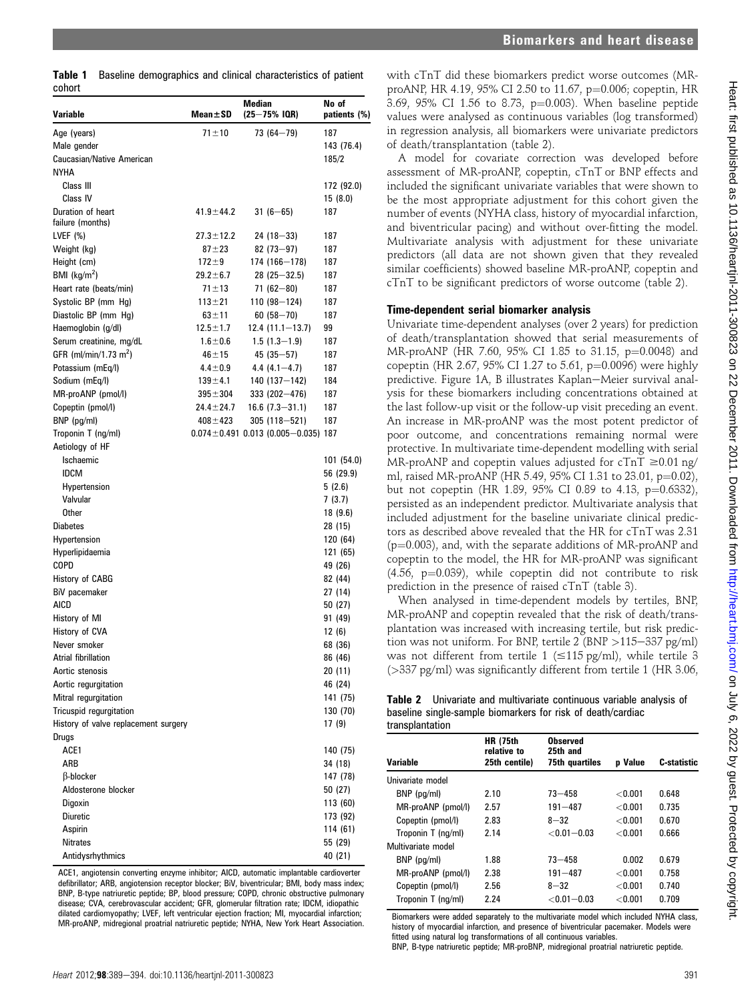|        |  |  | <b>Table 1</b> Baseline demographics and clinical characteristics of patient |  |
|--------|--|--|------------------------------------------------------------------------------|--|
| cohort |  |  |                                                                              |  |

| Variable                              | $Mean \pm SD$   | <b>Median</b><br>$(25 - 75\% \text{ IQR})$ | No of<br>patients (%) |
|---------------------------------------|-----------------|--------------------------------------------|-----------------------|
| Age (years)                           | $71 \pm 10$     | 73 (64-79)                                 | 187                   |
| Male gender                           |                 |                                            | 143 (76.4)            |
| Caucasian/Native American             |                 |                                            | 185/2                 |
| <b>NYHA</b>                           |                 |                                            |                       |
| Class III                             |                 |                                            | 172 (92.0)            |
| Class IV                              |                 |                                            | 15(8.0)               |
| Duration of heart<br>failure (months) | $41.9 \pm 44.2$ | $31(6-65)$                                 | 187                   |
| LVEF $(\%)$                           | $27.3 \pm 12.2$ | $24(18-33)$                                | 187                   |
| Weight (kg)                           | $87 + 23$       | 82 (73-97)                                 | 187                   |
| Height (cm)                           | $172 + 9$       | 174 (166—178)                              | 187                   |
| BMI ( $kg/m2$ )                       | $29.2 \pm 6.7$  | 28 (25 - 32.5)                             | 187                   |
| Heart rate (beats/min)                | $71 + 13$       | $71(62 - 80)$                              | 187                   |
| Systolic BP (mm Hg)                   | $113 + 21$      | 110 (98-124)                               | 187                   |
| Diastolic BP (mm Hg)                  | $63 + 11$       | $60(58 - 70)$                              | 187                   |
| Haemoglobin (g/dl)                    | $12.5 \pm 1.7$  | $12.4(11.1-13.7)$                          | 99                    |
| Serum creatinine, mg/dL               | $1.6 \pm 0.6$   | $1.5(1.3-1.9)$                             | 187                   |
| GFR (ml/min/1.73 m <sup>2</sup> )     | $46 + 15$       | $45(35 - 57)$                              | 187                   |
| Potassium (mEq/l)                     | $4.4 \pm 0.9$   | 4.4 $(4.1 - 4.7)$                          | 187                   |
| Sodium (mEq/l)                        | $139 + 4.1$     | 140 (137-142)                              | 184                   |
| MR-proANP (pmol/l)                    | $395 + 304$     | $333(202 - 476)$                           | 187                   |
| Copeptin (pmol/l)                     | $24.4 \pm 24.7$ | $16.6(7.3-31.1)$                           | 187                   |
| BNP (pg/ml)                           | $408 + 423$     | $305(118 - 521)$                           | 187                   |
| Troponin T (ng/ml)                    |                 | $0.074 \pm 0.491$ 0.013 (0.005-0.035) 187  |                       |
| Aetiology of HF                       |                 |                                            |                       |
| Ischaemic                             |                 |                                            | 101 (54.0)            |
| <b>IDCM</b>                           |                 |                                            | 56 (29.9)             |
| Hypertension                          |                 |                                            | 5(2.6)                |
| Valvular                              |                 |                                            | 7(3.7)                |
| Other                                 |                 |                                            | 18 (9.6)              |
| <b>Diabetes</b>                       |                 |                                            | 28 (15)               |
| Hypertension                          |                 |                                            | 120 (64)              |
| Hyperlipidaemia<br><b>COPD</b>        |                 |                                            | 121 (65)              |
| History of CABG                       |                 |                                            | 49 (26)<br>82 (44)    |
| BiV pacemaker                         |                 |                                            | 27 (14)               |
| AICD                                  |                 |                                            | 50 (27)               |
| History of MI                         |                 |                                            | 91 (49)               |
| History of CVA                        |                 |                                            | 12(6)                 |
| Never smoker                          |                 |                                            | 68 (36)               |
| Atrial fibrillation                   |                 |                                            | 86 (46)               |
| Aortic stenosis                       |                 |                                            | 20 (11)               |
| Aortic regurgitation                  |                 |                                            | 46 (24)               |
| Mitral regurgitation                  |                 |                                            | 141 (75)              |
| Tricuspid regurgitation               |                 |                                            | 130 (70)              |
| History of valve replacement surgery  |                 |                                            | 17(9)                 |
| Drugs                                 |                 |                                            |                       |
| ACE1                                  |                 |                                            | 140 (75)              |
| ARB                                   |                 |                                            | 34 (18)               |
| β-blocker                             |                 |                                            | 147 (78)              |
| Aldosterone blocker                   |                 |                                            | 50 (27)               |
| Digoxin                               |                 |                                            | 113 (60)              |
| <b>Diuretic</b>                       |                 |                                            | 173 (92)              |
| Aspirin                               |                 |                                            | 114 (61)              |
| <b>Nitrates</b>                       |                 |                                            | 55 (29)               |
| Antidysrhythmics                      |                 |                                            | 40 (21)               |

ACE1, angiotensin converting enzyme inhibitor; AICD, automatic implantable cardioverter defibrillator; ARB, angiotension receptor blocker; BiV, biventricular; BMI, body mass index; BNP, B-type natriuretic peptide; BP, blood pressure; COPD, chronic obstructive pulmonary disease; CVA, cerebrovascular accident; GFR, glomerular filtration rate; IDCM, idiopathic dilated cardiomyopathy; LVEF, left ventricular ejection fraction; MI, myocardial infarction; MR-proANP, midregional proatrial natriuretic peptide; NYHA, New York Heart Association.

with cTnT did these biomarkers predict worse outcomes (MRproANP, HR 4.19, 95% CI 2.50 to 11.67,  $p=0.006$ ; copeptin, HR 3.69, 95% CI 1.56 to 8.73,  $p=0.003$ ). When baseline peptide values were analysed as continuous variables (log transformed) in regression analysis, all biomarkers were univariate predictors of death/transplantation (table 2).

A model for covariate correction was developed before assessment of MR-proANP, copeptin, cTnT or BNP effects and included the significant univariate variables that were shown to be the most appropriate adjustment for this cohort given the number of events (NYHA class, history of myocardial infarction, and biventricular pacing) and without over-fitting the model. Multivariate analysis with adjustment for these univariate predictors (all data are not shown given that they revealed similar coefficients) showed baseline MR-proANP, copeptin and cTnT to be significant predictors of worse outcome (table 2).

#### Time-dependent serial biomarker analysis

Univariate time-dependent analyses (over 2 years) for prediction of death/transplantation showed that serial measurements of MR-proANP (HR 7.60, 95% CI 1.85 to 31.15, p=0.0048) and copeptin (HR 2.67, 95% CI 1.27 to 5.61, p=0.0096) were highly predictive. Figure 1A, B illustrates Kaplan-Meier survival analysis for these biomarkers including concentrations obtained at the last follow-up visit or the follow-up visit preceding an event. An increase in MR-proANP was the most potent predictor of poor outcome, and concentrations remaining normal were protective. In multivariate time-dependent modelling with serial MR-proANP and copeptin values adjusted for  $cTnT \ge 0.01$  ng/ ml, raised MR-proANP (HR 5.49, 95% CI 1.31 to 23.01,  $p=0.02$ ), but not copeptin (HR 1.89, 95% CI 0.89 to 4.13, p=0.6332), persisted as an independent predictor. Multivariate analysis that included adjustment for the baseline univariate clinical predictors as described above revealed that the HR for cTnT was 2.31  $(p=0.003)$ , and, with the separate additions of MR-proANP and copeptin to the model, the HR for MR-proANP was significant  $(4.56, p=0.039)$ , while copeptin did not contribute to risk prediction in the presence of raised cTnT (table 3).

When analysed in time-dependent models by tertiles, BNP, MR-proANP and copeptin revealed that the risk of death/transplantation was increased with increasing tertile, but risk prediction was not uniform. For BNP, tertile  $2$  (BNP > 115-337 pg/ml) was not different from tertile 1 ( $\leq$ 115 pg/ml), while tertile 3 (>337 pg/ml) was significantly different from tertile 1 (HR 3.06,

|                 | <b>Table 2</b> Univariate and multivariate continuous variable analysis of |
|-----------------|----------------------------------------------------------------------------|
|                 | baseline single-sample biomarkers for risk of death/cardiac                |
| transplantation |                                                                            |

|                    | <b>HR (75th</b>              | <b>Observed</b>            |                |                    |  |
|--------------------|------------------------------|----------------------------|----------------|--------------------|--|
| <b>Variable</b>    | relative to<br>25th centile) | 25th and<br>75th quartiles | <b>p</b> Value | <b>C-statistic</b> |  |
| Univariate model   |                              |                            |                |                    |  |
| $BNP$ (pg/ml)      | 2.10                         | $73 - 458$                 | < 0.001        | 0.648              |  |
| MR-proANP (pmol/l) | 2.57                         | $191 - 487$                | < 0.001        | 0.735              |  |
| Copeptin (pmol/l)  | 2.83                         | $8 - 32$                   | < 0.001        | 0.670              |  |
| Troponin T (ng/ml) | 2.14                         | $<$ 0.01 $-$ 0.03          | < 0.001        | 0.666              |  |
| Multivariate model |                              |                            |                |                    |  |
| $BNP$ (pg/ml)      | 1.88                         | $73 - 458$                 | 0.002          | 0.679              |  |
| MR-proANP (pmol/l) | 2.38                         | $191 - 487$                | < 0.001        | 0.758              |  |
| Copeptin (pmol/l)  | 2.56                         | $8 - 32$                   | < 0.001        | 0.740              |  |
| Troponin T (ng/ml) | 2.24                         | $<$ 0.01 $-$ 0.03          | < 0.001        | 0.709              |  |

Biomarkers were added separately to the multivariate model which included NYHA class, history of myocardial infarction, and presence of biventricular pacemaker. Models were fitted using natural log transformations of all continuous variables.

BNP, B-type natriuretic peptide; MR-proBNP, midregional proatrial natriuretic peptide.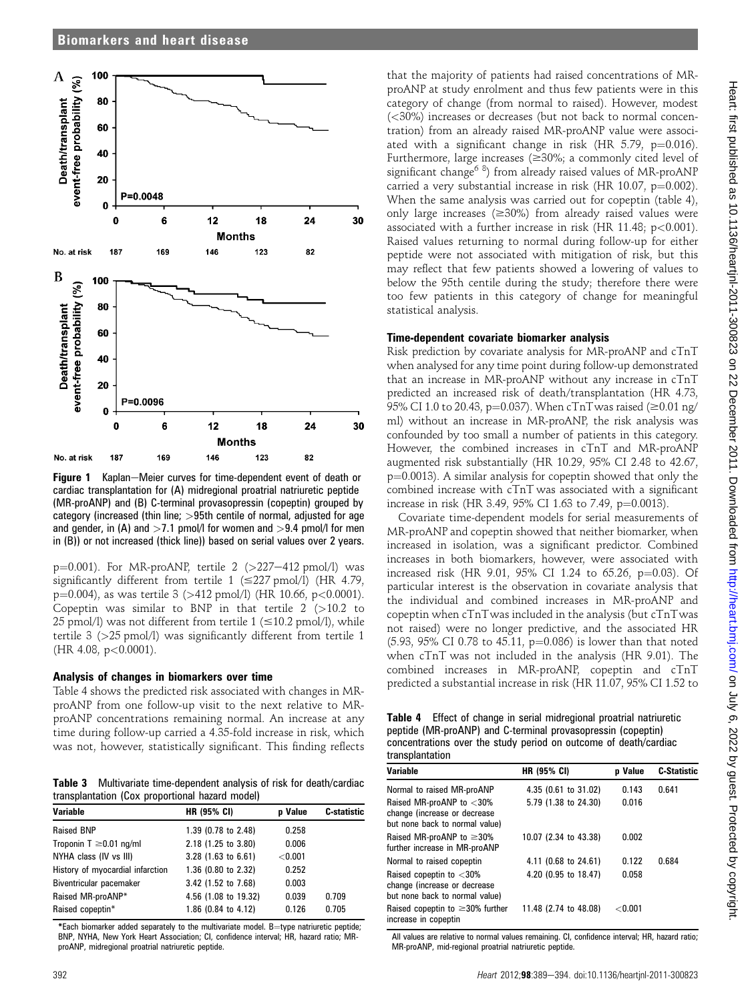

Figure 1 Kaplan–Meier curves for time-dependent event of death or cardiac transplantation for (A) midregional proatrial natriuretic peptide (MR-proANP) and (B) C-terminal provasopressin (copeptin) grouped by category (increased (thin line; >95th centile of normal, adjusted for age and gender, in (A) and  $>7.1$  pmol/l for women and  $>9.4$  pmol/l for men in (B)) or not increased (thick line)) based on serial values over 2 years.

p=0.001). For MR-proANP, tertile  $2$  (>227-412 pmol/l) was significantly different from tertile  $1$  ( $\leq$ 227 pmol/l) (HR 4.79,  $p=0.004$ ), as was tertile 3 (>412 pmol/l) (HR 10.66, p<0.0001). Copeptin was similar to BNP in that tertile  $2$  ( $>10.2$  to 25 pmol/l) was not different from tertile  $1 \leq 10.2$  pmol/l), while tertile 3 (>25 pmol/l) was significantly different from tertile 1 (HR 4.08, p<0.0001).

#### Analysis of changes in biomarkers over time

Table 4 shows the predicted risk associated with changes in MRproANP from one follow-up visit to the next relative to MRproANP concentrations remaining normal. An increase at any time during follow-up carried a 4.35-fold increase in risk, which was not, however, statistically significant. This finding reflects

Table 3 Multivariate time-dependent analysis of risk for death/cardiac transplantation (Cox proportional hazard model)

| <b>Variable</b>                  | <b>HR (95% CI)</b>    | <b>p</b> Value | <b>C-statistic</b> |  |  |  |
|----------------------------------|-----------------------|----------------|--------------------|--|--|--|
| <b>Raised BNP</b>                | 1.39 (0.78 to 2.48)   | 0.258          |                    |  |  |  |
| Troponin T $\geq$ 0.01 ng/ml     | 2.18 (1.25 to 3.80)   | 0.006          |                    |  |  |  |
| NYHA class (IV vs III)           | $3.28$ (1.63 to 6.61) | < 0.001        |                    |  |  |  |
| History of myocardial infarction | 1.36 (0.80 to 2.32)   | 0.252          |                    |  |  |  |
| Biventricular pacemaker          | 3.42 (1.52 to 7.68)   | 0.003          |                    |  |  |  |
| Raised MR-proANP*                | 4.56 (1.08 to 19.32)  | 0.039          | 0.709              |  |  |  |
| Raised copeptin*                 | 1.86 (0.84 to 4.12)   | 0.126          | 0.705              |  |  |  |
|                                  |                       |                |                    |  |  |  |

\*Each biomarker added separately to the multivariate model. B=type natriuretic peptide; BNP, NYHA, New York Heart Association; CI, confidence interval; HR, hazard ratio; MRproANP, midregional proatrial natriuretic peptide.

that the majority of patients had raised concentrations of MRproANP at study enrolment and thus few patients were in this category of change (from normal to raised). However, modest (<30%) increases or decreases (but not back to normal concentration) from an already raised MR-proANP value were associated with a significant change in risk (HR  $5.79$ ,  $p=0.016$ ). Furthermore, large increases ( $\geq 30\%$ ; a commonly cited level of significant change<sup>68</sup>) from already raised values of MR-proANF carried a very substantial increase in risk (HR 10.07,  $p=0.002$ ). When the same analysis was carried out for copeptin (table 4), only large increases  $(\geq 30\%)$  from already raised values were associated with a further increase in risk (HR 11.48;  $p < 0.001$ ). Raised values returning to normal during follow-up for either peptide were not associated with mitigation of risk, but this may reflect that few patients showed a lowering of values to below the 95th centile during the study; therefore there were too few patients in this category of change for meaningful statistical analysis.

#### Time-dependent covariate biomarker analysis

Risk prediction by covariate analysis for MR-proANP and cTnT when analysed for any time point during follow-up demonstrated that an increase in MR-proANP without any increase in cTnT predicted an increased risk of death/transplantation (HR 4.73, 95% CI 1.0 to 20.43, p=0.037). When cTnT was raised ( $\geq 0.01$  ng/ ml) without an increase in MR-proANP, the risk analysis was confounded by too small a number of patients in this category. However, the combined increases in cTnT and MR-proANP augmented risk substantially (HR 10.29, 95% CI 2.48 to 42.67,  $p=0.0013$ ). A similar analysis for copeptin showed that only the combined increase with cTnT was associated with a significant increase in risk (HR 3.49, 95% CI 1.63 to 7.49,  $p=0.0013$ ).

Covariate time-dependent models for serial measurements of MR-proANP and copeptin showed that neither biomarker, when increased in isolation, was a significant predictor. Combined increases in both biomarkers, however, were associated with increased risk (HR 9.01, 95% CI 1.24 to 65.26, p=0.03). Of particular interest is the observation in covariate analysis that the individual and combined increases in MR-proANP and copeptin when cTnTwas included in the analysis (but cTnTwas not raised) were no longer predictive, and the associated HR (5.93, 95% CI 0.78 to 45.11,  $p=0.086$ ) is lower than that noted when cTnT was not included in the analysis (HR 9.01). The combined increases in MR-proANP, copeptin and cTnT predicted a substantial increase in risk (HR 11.07, 95% CI 1.52 to

Table 4 Effect of change in serial midregional proatrial natriuretic peptide (MR-proANP) and C-terminal provasopressin (copeptin) concentrations over the study period on outcome of death/cardiac transplantation

| <b>Variable</b>                                                                               | <b>HR (95% CI)</b>    | p Value | <b>C-Statistic</b> |  |  |  |
|-----------------------------------------------------------------------------------------------|-----------------------|---------|--------------------|--|--|--|
| Normal to raised MR-proANP                                                                    | 4.35 (0.61 to 31.02)  | 0.143   | 0.641              |  |  |  |
| Raised MR-proANP to $<$ 30%<br>change (increase or decrease<br>but none back to normal value) | 5.79 (1.38 to 24.30)  | 0.016   |                    |  |  |  |
| Raised MR-proANP to $\geq$ 30%<br>further increase in MR-proANP                               | 10.07 (2.34 to 43.38) | 0.002   |                    |  |  |  |
| Normal to raised copeptin                                                                     | 4.11 (0.68 to 24.61)  | 0.122   | 0.684              |  |  |  |
| Raised copeptin to $<$ 30%<br>change (increase or decrease<br>but none back to normal value)  | 4.20 (0.95 to 18.47)  | 0.058   |                    |  |  |  |
| Raised copeptin to $\geq$ 30% further<br>increase in copeptin                                 | 11.48 (2.74 to 48.08) | < 0.001 |                    |  |  |  |

All values are relative to normal values remaining. CI, confidence interval; HR, hazard ratio; MR-proANP, mid-regional proatrial natriuretic peptide.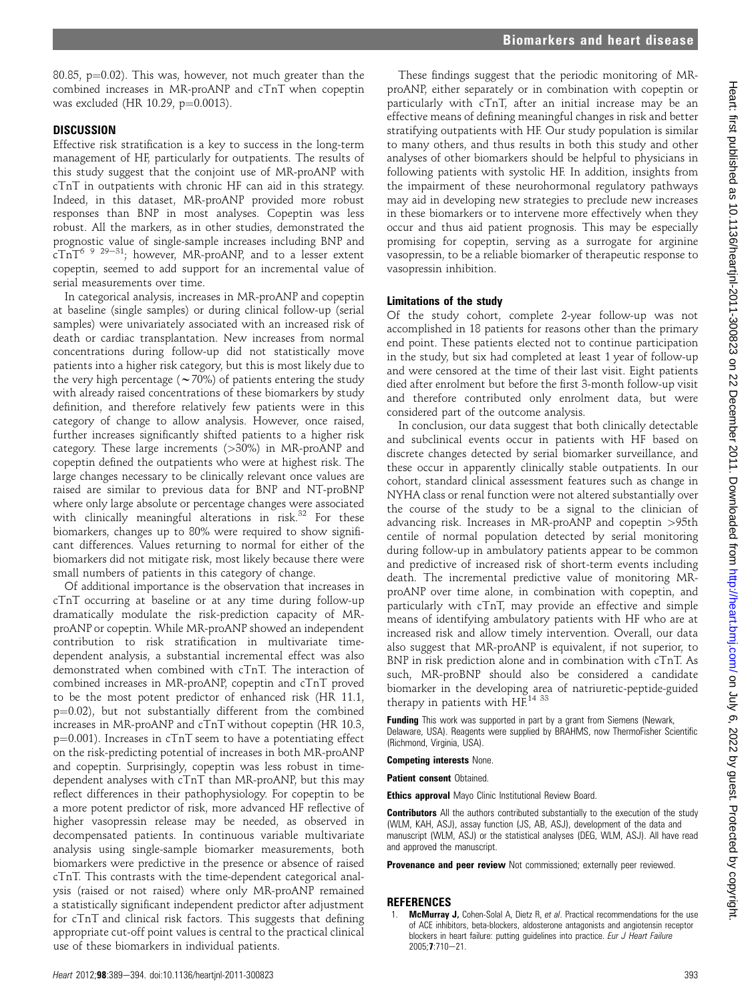80.85,  $p=0.02$ ). This was, however, not much greater than the combined increases in MR-proANP and cTnT when copeptin was excluded (HR 10.29,  $p=0.0013$ ).

## **DISCUSSION**

Effective risk stratification is a key to success in the long-term management of HF, particularly for outpatients. The results of this study suggest that the conjoint use of MR-proANP with cTnT in outpatients with chronic HF can aid in this strategy. Indeed, in this dataset, MR-proANP provided more robust responses than BNP in most analyses. Copeptin was less robust. All the markers, as in other studies, demonstrated the prognostic value of single-sample increases including BNP and  $cTnT^{6}$ <sup>9</sup> <sup>29-31</sup>; however, MR-proANP, and to a lesser extent copeptin, seemed to add support for an incremental value of serial measurements over time.

In categorical analysis, increases in MR-proANP and copeptin at baseline (single samples) or during clinical follow-up (serial samples) were univariately associated with an increased risk of death or cardiac transplantation. New increases from normal concentrations during follow-up did not statistically move patients into a higher risk category, but this is most likely due to the very high percentage ( $\approx$  70%) of patients entering the study with already raised concentrations of these biomarkers by study definition, and therefore relatively few patients were in this category of change to allow analysis. However, once raised, further increases significantly shifted patients to a higher risk category. These large increments (>30%) in MR-proANP and copeptin defined the outpatients who were at highest risk. The large changes necessary to be clinically relevant once values are raised are similar to previous data for BNP and NT-proBNP where only large absolute or percentage changes were associated with clinically meaningful alterations in risk. $32$  For these biomarkers, changes up to 80% were required to show significant differences. Values returning to normal for either of the biomarkers did not mitigate risk, most likely because there were small numbers of patients in this category of change.

Of additional importance is the observation that increases in cTnT occurring at baseline or at any time during follow-up dramatically modulate the risk-prediction capacity of MRproANP or copeptin. While MR-proANP showed an independent contribution to risk stratification in multivariate timedependent analysis, a substantial incremental effect was also demonstrated when combined with cTnT. The interaction of combined increases in MR-proANP, copeptin and cTnT proved to be the most potent predictor of enhanced risk (HR 11.1,  $p=0.02$ ), but not substantially different from the combined increases in MR-proANP and cTnT without copeptin (HR 10.3,  $p=0.001$ ). Increases in cTnT seem to have a potentiating effect on the risk-predicting potential of increases in both MR-proANP and copeptin. Surprisingly, copeptin was less robust in timedependent analyses with cTnT than MR-proANP, but this may reflect differences in their pathophysiology. For copeptin to be a more potent predictor of risk, more advanced HF reflective of higher vasopressin release may be needed, as observed in decompensated patients. In continuous variable multivariate analysis using single-sample biomarker measurements, both biomarkers were predictive in the presence or absence of raised cTnT. This contrasts with the time-dependent categorical analysis (raised or not raised) where only MR-proANP remained a statistically significant independent predictor after adjustment for cTnT and clinical risk factors. This suggests that defining appropriate cut-off point values is central to the practical clinical use of these biomarkers in individual patients.

These findings suggest that the periodic monitoring of MRproANP, either separately or in combination with copeptin or particularly with cTnT, after an initial increase may be an effective means of defining meaningful changes in risk and better stratifying outpatients with HF. Our study population is similar to many others, and thus results in both this study and other analyses of other biomarkers should be helpful to physicians in following patients with systolic HF. In addition, insights from the impairment of these neurohormonal regulatory pathways may aid in developing new strategies to preclude new increases in these biomarkers or to intervene more effectively when they occur and thus aid patient prognosis. This may be especially promising for copeptin, serving as a surrogate for arginine vasopressin, to be a reliable biomarker of therapeutic response to vasopressin inhibition.

#### Limitations of the study

Of the study cohort, complete 2-year follow-up was not accomplished in 18 patients for reasons other than the primary end point. These patients elected not to continue participation in the study, but six had completed at least 1 year of follow-up and were censored at the time of their last visit. Eight patients died after enrolment but before the first 3-month follow-up visit and therefore contributed only enrolment data, but were considered part of the outcome analysis.

In conclusion, our data suggest that both clinically detectable and subclinical events occur in patients with HF based on discrete changes detected by serial biomarker surveillance, and these occur in apparently clinically stable outpatients. In our cohort, standard clinical assessment features such as change in NYHA class or renal function were not altered substantially over the course of the study to be a signal to the clinician of advancing risk. Increases in MR-proANP and copeptin >95th centile of normal population detected by serial monitoring during follow-up in ambulatory patients appear to be common and predictive of increased risk of short-term events including death. The incremental predictive value of monitoring MRproANP over time alone, in combination with copeptin, and particularly with cTnT, may provide an effective and simple means of identifying ambulatory patients with HF who are at increased risk and allow timely intervention. Overall, our data also suggest that MR-proANP is equivalent, if not superior, to BNP in risk prediction alone and in combination with cTnT. As such, MR-proBNP should also be considered a candidate biomarker in the developing area of natriuretic-peptide-guided therapy in patients with HE<sup>14 33</sup>

Funding This work was supported in part by a grant from Siemens (Newark, Delaware, USA). Reagents were supplied by BRAHMS, now ThermoFisher Scientific (Richmond, Virginia, USA).

#### Competing interests None.

Patient consent Obtained.

**Ethics approval** Mayo Clinic Institutional Review Board.

**Contributors** All the authors contributed substantially to the execution of the study (WLM, KAH, ASJ), assay function (JS, AB, ASJ), development of the data and manuscript (WLM, ASJ) or the statistical analyses (DEG, WLM, ASJ). All have read and approved the manuscript.

Provenance and peer review Not commissioned; externally peer reviewed.

### REFERENCES

McMurray J, Cohen-Solal A, Dietz R, et al. Practical recommendations for the use of ACE inhibitors, beta-blockers, aldosterone antagonists and angiotensin receptor blockers in heart failure: putting guidelines into practice. Eur J Heart Failure 2005:7:710-21.